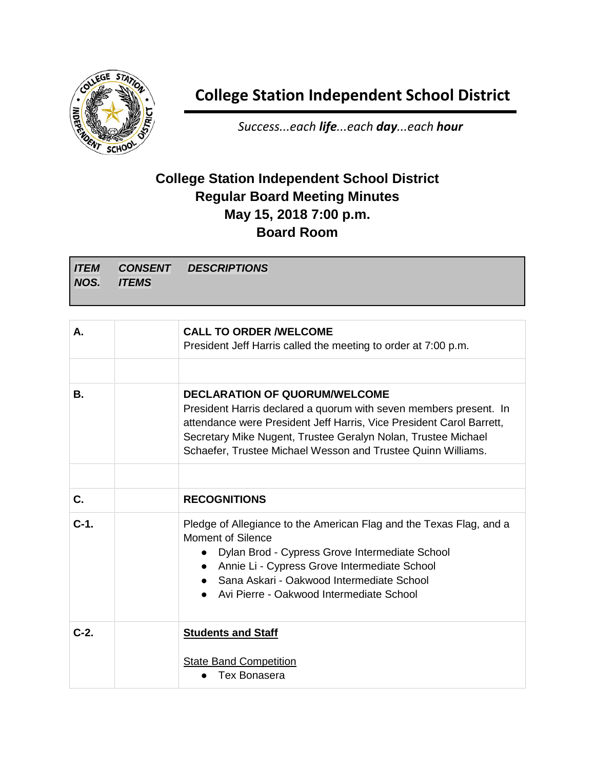

**College Station Independent School District**

*Success...each life...each day...each hour*

## **College Station Independent School District Regular Board Meeting Minutes May 15, 2018 7:00 p.m. Board Room**

*ITEM NOS. CONSENT ITEMS DESCRIPTIONS*

| А.      | <b>CALL TO ORDER /WELCOME</b><br>President Jeff Harris called the meeting to order at 7:00 p.m.                                                                                                                                                                                                                    |
|---------|--------------------------------------------------------------------------------------------------------------------------------------------------------------------------------------------------------------------------------------------------------------------------------------------------------------------|
|         |                                                                                                                                                                                                                                                                                                                    |
| В.      | <b>DECLARATION OF QUORUM/WELCOME</b><br>President Harris declared a quorum with seven members present. In<br>attendance were President Jeff Harris, Vice President Carol Barrett,<br>Secretary Mike Nugent, Trustee Geralyn Nolan, Trustee Michael<br>Schaefer, Trustee Michael Wesson and Trustee Quinn Williams. |
|         |                                                                                                                                                                                                                                                                                                                    |
| C.      | <b>RECOGNITIONS</b>                                                                                                                                                                                                                                                                                                |
| $C-1$ . | Pledge of Allegiance to the American Flag and the Texas Flag, and a<br><b>Moment of Silence</b><br>Dylan Brod - Cypress Grove Intermediate School<br>$\bullet$<br>Annie Li - Cypress Grove Intermediate School<br>• Sana Askari - Oakwood Intermediate School<br>Avi Pierre - Oakwood Intermediate School          |
| $C-2.$  | <b>Students and Staff</b><br><b>State Band Competition</b><br>Tex Bonasera                                                                                                                                                                                                                                         |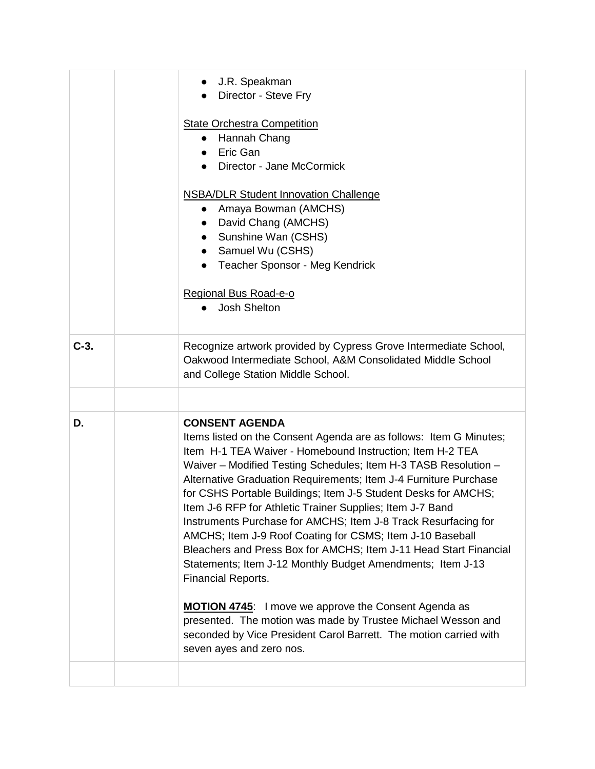|        | J.R. Speakman<br>Director - Steve Fry<br><b>State Orchestra Competition</b><br>• Hannah Chang<br>Eric Gan<br>Director - Jane McCormick<br><b>NSBA/DLR Student Innovation Challenge</b><br>• Amaya Bowman (AMCHS)<br>David Chang (AMCHS)<br>$\bullet$<br>Sunshine Wan (CSHS)<br>$\bullet$<br>• Samuel Wu (CSHS)<br>• Teacher Sponsor - Meg Kendrick<br>Regional Bus Road-e-o<br>Josh Shelton<br>$\bullet$                                                                                                                                                                                                                                                                                                                                                                                                                                                                                                                                                      |
|--------|---------------------------------------------------------------------------------------------------------------------------------------------------------------------------------------------------------------------------------------------------------------------------------------------------------------------------------------------------------------------------------------------------------------------------------------------------------------------------------------------------------------------------------------------------------------------------------------------------------------------------------------------------------------------------------------------------------------------------------------------------------------------------------------------------------------------------------------------------------------------------------------------------------------------------------------------------------------|
| $C-3.$ | Recognize artwork provided by Cypress Grove Intermediate School,<br>Oakwood Intermediate School, A&M Consolidated Middle School<br>and College Station Middle School.                                                                                                                                                                                                                                                                                                                                                                                                                                                                                                                                                                                                                                                                                                                                                                                         |
|        |                                                                                                                                                                                                                                                                                                                                                                                                                                                                                                                                                                                                                                                                                                                                                                                                                                                                                                                                                               |
| D.     | <b>CONSENT AGENDA</b><br>Items listed on the Consent Agenda are as follows: Item G Minutes;<br>Item H-1 TEA Waiver - Homebound Instruction; Item H-2 TEA<br>Waiver - Modified Testing Schedules; Item H-3 TASB Resolution -<br>Alternative Graduation Requirements; Item J-4 Furniture Purchase<br>for CSHS Portable Buildings; Item J-5 Student Desks for AMCHS;<br>Item J-6 RFP for Athletic Trainer Supplies; Item J-7 Band<br>Instruments Purchase for AMCHS; Item J-8 Track Resurfacing for<br>AMCHS; Item J-9 Roof Coating for CSMS; Item J-10 Baseball<br>Bleachers and Press Box for AMCHS; Item J-11 Head Start Financial<br>Statements; Item J-12 Monthly Budget Amendments; Item J-13<br><b>Financial Reports.</b><br><b>MOTION 4745:</b> I move we approve the Consent Agenda as<br>presented. The motion was made by Trustee Michael Wesson and<br>seconded by Vice President Carol Barrett. The motion carried with<br>seven ayes and zero nos. |
|        |                                                                                                                                                                                                                                                                                                                                                                                                                                                                                                                                                                                                                                                                                                                                                                                                                                                                                                                                                               |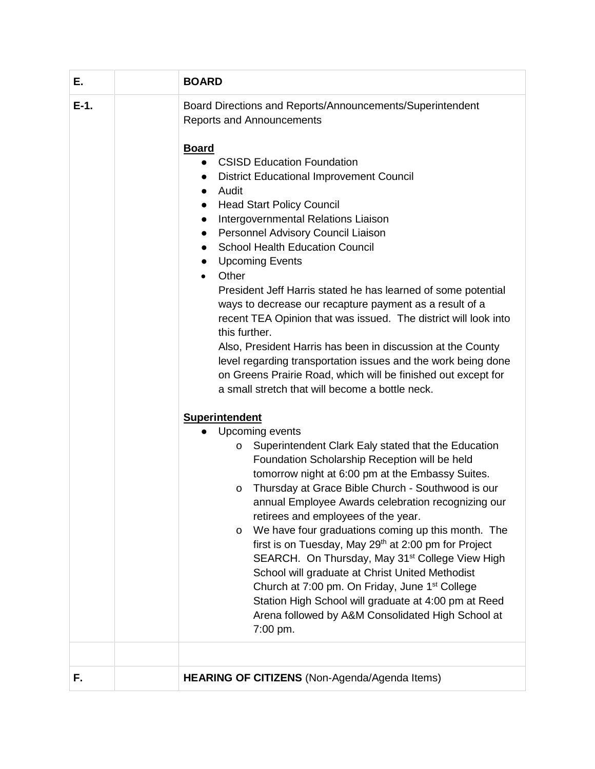| Е.     | <b>BOARD</b>                                                                                                                                                                                                                                                                                                                                                                                                                                                                                                                                                                                                                                                                                                                                                                                                               |
|--------|----------------------------------------------------------------------------------------------------------------------------------------------------------------------------------------------------------------------------------------------------------------------------------------------------------------------------------------------------------------------------------------------------------------------------------------------------------------------------------------------------------------------------------------------------------------------------------------------------------------------------------------------------------------------------------------------------------------------------------------------------------------------------------------------------------------------------|
| $E-1.$ | Board Directions and Reports/Announcements/Superintendent<br><b>Reports and Announcements</b><br><b>Board</b><br>• CSISD Education Foundation<br><b>District Educational Improvement Council</b><br>Audit<br>$\bullet$<br><b>Head Start Policy Council</b><br>$\bullet$                                                                                                                                                                                                                                                                                                                                                                                                                                                                                                                                                    |
|        | Intergovernmental Relations Liaison<br>$\bullet$<br>Personnel Advisory Council Liaison<br>$\bullet$<br><b>School Health Education Council</b><br>$\bullet$<br><b>Upcoming Events</b><br>$\bullet$<br>Other<br>$\bullet$                                                                                                                                                                                                                                                                                                                                                                                                                                                                                                                                                                                                    |
|        | President Jeff Harris stated he has learned of some potential<br>ways to decrease our recapture payment as a result of a<br>recent TEA Opinion that was issued. The district will look into<br>this further.<br>Also, President Harris has been in discussion at the County<br>level regarding transportation issues and the work being done<br>on Greens Prairie Road, which will be finished out except for<br>a small stretch that will become a bottle neck.                                                                                                                                                                                                                                                                                                                                                           |
|        | <b>Superintendent</b><br>Upcoming events<br>Superintendent Clark Ealy stated that the Education<br>$\circ$<br>Foundation Scholarship Reception will be held<br>tomorrow night at 6:00 pm at the Embassy Suites.<br>Thursday at Grace Bible Church - Southwood is our<br>$\circ$<br>annual Employee Awards celebration recognizing our<br>retirees and employees of the year.<br>We have four graduations coming up this month. The<br>$\circ$<br>first is on Tuesday, May 29 <sup>th</sup> at 2:00 pm for Project<br>SEARCH. On Thursday, May 31 <sup>st</sup> College View High<br>School will graduate at Christ United Methodist<br>Church at 7:00 pm. On Friday, June 1 <sup>st</sup> College<br>Station High School will graduate at 4:00 pm at Reed<br>Arena followed by A&M Consolidated High School at<br>7:00 pm. |
| F.     | HEARING OF CITIZENS (Non-Agenda/Agenda Items)                                                                                                                                                                                                                                                                                                                                                                                                                                                                                                                                                                                                                                                                                                                                                                              |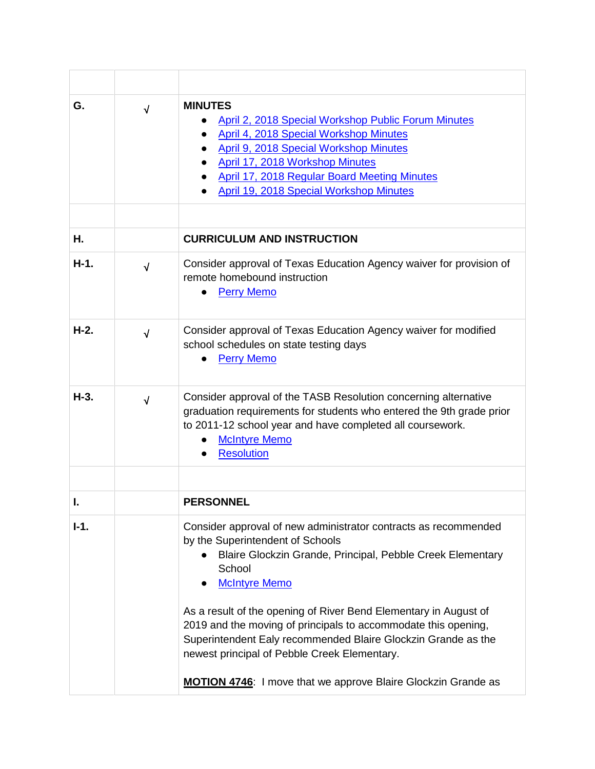| G.     | $\sqrt{ }$ | <b>MINUTES</b><br>April 2, 2018 Special Workshop Public Forum Minutes<br><b>April 4, 2018 Special Workshop Minutes</b><br>April 9, 2018 Special Workshop Minutes<br>April 17, 2018 Workshop Minutes<br><b>April 17, 2018 Regular Board Meeting Minutes</b><br>April 19, 2018 Special Workshop Minutes                                                                                                                                                                                                                              |
|--------|------------|------------------------------------------------------------------------------------------------------------------------------------------------------------------------------------------------------------------------------------------------------------------------------------------------------------------------------------------------------------------------------------------------------------------------------------------------------------------------------------------------------------------------------------|
|        |            |                                                                                                                                                                                                                                                                                                                                                                                                                                                                                                                                    |
| Η.     |            | <b>CURRICULUM AND INSTRUCTION</b>                                                                                                                                                                                                                                                                                                                                                                                                                                                                                                  |
| $H-1.$ | $\sqrt{}$  | Consider approval of Texas Education Agency waiver for provision of<br>remote homebound instruction<br><b>Perry Memo</b>                                                                                                                                                                                                                                                                                                                                                                                                           |
| $H-2.$ | $\sqrt{ }$ | Consider approval of Texas Education Agency waiver for modified<br>school schedules on state testing days<br><b>Perry Memo</b>                                                                                                                                                                                                                                                                                                                                                                                                     |
| $H-3.$ | $\sqrt{ }$ | Consider approval of the TASB Resolution concerning alternative<br>graduation requirements for students who entered the 9th grade prior<br>to 2011-12 school year and have completed all coursework.<br><b>McIntyre Memo</b><br><b>Resolution</b>                                                                                                                                                                                                                                                                                  |
|        |            |                                                                                                                                                                                                                                                                                                                                                                                                                                                                                                                                    |
|        |            | <b>PERSONNEL</b>                                                                                                                                                                                                                                                                                                                                                                                                                                                                                                                   |
| $I-1.$ |            | Consider approval of new administrator contracts as recommended<br>by the Superintendent of Schools<br>Blaire Glockzin Grande, Principal, Pebble Creek Elementary<br>School<br><b>McIntyre Memo</b><br>As a result of the opening of River Bend Elementary in August of<br>2019 and the moving of principals to accommodate this opening,<br>Superintendent Ealy recommended Blaire Glockzin Grande as the<br>newest principal of Pebble Creek Elementary.<br><b>MOTION 4746:</b> I move that we approve Blaire Glockzin Grande as |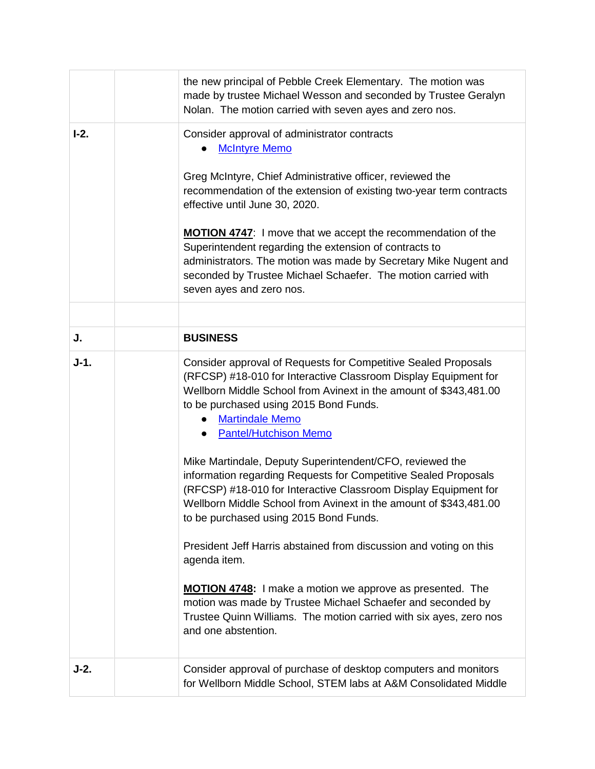|        | the new principal of Pebble Creek Elementary. The motion was<br>made by trustee Michael Wesson and seconded by Trustee Geralyn<br>Nolan. The motion carried with seven ayes and zero nos.                                                                                                                                                                                                                                                                                                                                                                                                                                                                                                                                                                                                                                                                                                                                                         |
|--------|---------------------------------------------------------------------------------------------------------------------------------------------------------------------------------------------------------------------------------------------------------------------------------------------------------------------------------------------------------------------------------------------------------------------------------------------------------------------------------------------------------------------------------------------------------------------------------------------------------------------------------------------------------------------------------------------------------------------------------------------------------------------------------------------------------------------------------------------------------------------------------------------------------------------------------------------------|
| $I-2.$ | Consider approval of administrator contracts<br><b>McIntyre Memo</b><br>Greg McIntyre, Chief Administrative officer, reviewed the<br>recommendation of the extension of existing two-year term contracts<br>effective until June 30, 2020.<br>MOTION 4747: I move that we accept the recommendation of the<br>Superintendent regarding the extension of contracts to<br>administrators. The motion was made by Secretary Mike Nugent and<br>seconded by Trustee Michael Schaefer. The motion carried with<br>seven ayes and zero nos.                                                                                                                                                                                                                                                                                                                                                                                                             |
|        |                                                                                                                                                                                                                                                                                                                                                                                                                                                                                                                                                                                                                                                                                                                                                                                                                                                                                                                                                   |
| J.     | <b>BUSINESS</b>                                                                                                                                                                                                                                                                                                                                                                                                                                                                                                                                                                                                                                                                                                                                                                                                                                                                                                                                   |
| $J-1.$ | Consider approval of Requests for Competitive Sealed Proposals<br>(RFCSP) #18-010 for Interactive Classroom Display Equipment for<br>Wellborn Middle School from Avinext in the amount of \$343,481.00<br>to be purchased using 2015 Bond Funds.<br><b>Martindale Memo</b><br><b>Pantel/Hutchison Memo</b><br>Mike Martindale, Deputy Superintendent/CFO, reviewed the<br>information regarding Requests for Competitive Sealed Proposals<br>(RFCSP) #18-010 for Interactive Classroom Display Equipment for<br>Wellborn Middle School from Avinext in the amount of \$343,481.00<br>to be purchased using 2015 Bond Funds.<br>President Jeff Harris abstained from discussion and voting on this<br>agenda item.<br><b>MOTION 4748:</b> I make a motion we approve as presented. The<br>motion was made by Trustee Michael Schaefer and seconded by<br>Trustee Quinn Williams. The motion carried with six ayes, zero nos<br>and one abstention. |
| J-2.   | Consider approval of purchase of desktop computers and monitors<br>for Wellborn Middle School, STEM labs at A&M Consolidated Middle                                                                                                                                                                                                                                                                                                                                                                                                                                                                                                                                                                                                                                                                                                                                                                                                               |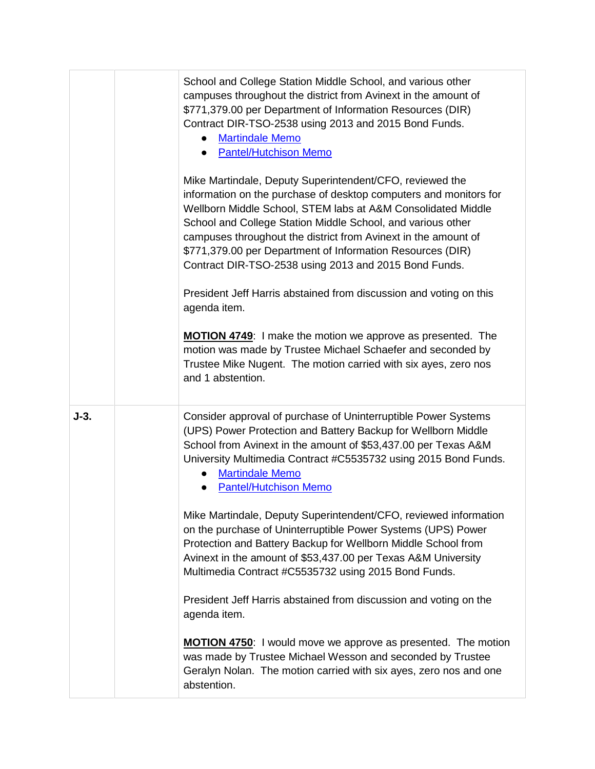|        | School and College Station Middle School, and various other<br>campuses throughout the district from Avinext in the amount of<br>\$771,379.00 per Department of Information Resources (DIR)<br>Contract DIR-TSO-2538 using 2013 and 2015 Bond Funds.<br><b>Martindale Memo</b><br><b>Pantel/Hutchison Memo</b><br>Mike Martindale, Deputy Superintendent/CFO, reviewed the<br>information on the purchase of desktop computers and monitors for<br>Wellborn Middle School, STEM labs at A&M Consolidated Middle<br>School and College Station Middle School, and various other<br>campuses throughout the district from Avinext in the amount of<br>\$771,379.00 per Department of Information Resources (DIR)<br>Contract DIR-TSO-2538 using 2013 and 2015 Bond Funds.<br>President Jeff Harris abstained from discussion and voting on this<br>agenda item.<br><b>MOTION 4749:</b> I make the motion we approve as presented. The<br>motion was made by Trustee Michael Schaefer and seconded by<br>Trustee Mike Nugent. The motion carried with six ayes, zero nos<br>and 1 abstention. |
|--------|--------------------------------------------------------------------------------------------------------------------------------------------------------------------------------------------------------------------------------------------------------------------------------------------------------------------------------------------------------------------------------------------------------------------------------------------------------------------------------------------------------------------------------------------------------------------------------------------------------------------------------------------------------------------------------------------------------------------------------------------------------------------------------------------------------------------------------------------------------------------------------------------------------------------------------------------------------------------------------------------------------------------------------------------------------------------------------------------|
| $J-3.$ | Consider approval of purchase of Uninterruptible Power Systems<br>(UPS) Power Protection and Battery Backup for Wellborn Middle<br>School from Avinext in the amount of \$53,437.00 per Texas A&M<br>University Multimedia Contract #C5535732 using 2015 Bond Funds.<br><b>Martindale Memo</b><br><b>Pantel/Hutchison Memo</b><br>Mike Martindale, Deputy Superintendent/CFO, reviewed information<br>on the purchase of Uninterruptible Power Systems (UPS) Power<br>Protection and Battery Backup for Wellborn Middle School from<br>Avinext in the amount of \$53,437.00 per Texas A&M University<br>Multimedia Contract #C5535732 using 2015 Bond Funds.<br>President Jeff Harris abstained from discussion and voting on the<br>agenda item.<br><b>MOTION 4750:</b> I would move we approve as presented. The motion<br>was made by Trustee Michael Wesson and seconded by Trustee<br>Geralyn Nolan. The motion carried with six ayes, zero nos and one<br>abstention.                                                                                                                |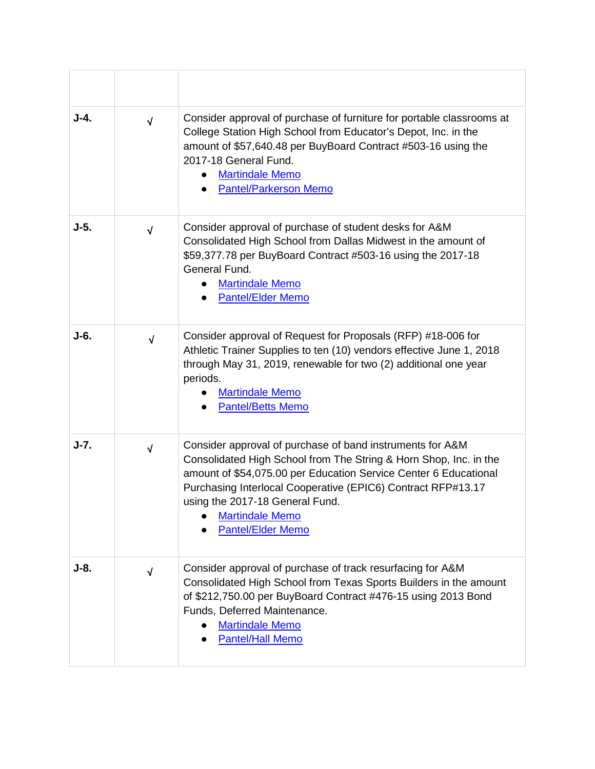| $J-4.$ | $\sqrt{2}$ | Consider approval of purchase of furniture for portable classrooms at<br>College Station High School from Educator's Depot, Inc. in the<br>amount of \$57,640.48 per BuyBoard Contract #503-16 using the<br>2017-18 General Fund.<br><b>Martindale Memo</b><br><b>Pantel/Parkerson Memo</b>                                                                 |
|--------|------------|-------------------------------------------------------------------------------------------------------------------------------------------------------------------------------------------------------------------------------------------------------------------------------------------------------------------------------------------------------------|
| $J-5.$ | $\sqrt{}$  | Consider approval of purchase of student desks for A&M<br>Consolidated High School from Dallas Midwest in the amount of<br>\$59,377.78 per BuyBoard Contract #503-16 using the 2017-18<br>General Fund.<br><b>Martindale Memo</b><br><b>Pantel/Elder Memo</b>                                                                                               |
| J-6.   | $\sqrt{ }$ | Consider approval of Request for Proposals (RFP) #18-006 for<br>Athletic Trainer Supplies to ten (10) vendors effective June 1, 2018<br>through May 31, 2019, renewable for two (2) additional one year<br>periods.<br><b>Martindale Memo</b><br><b>Pantel/Betts Memo</b>                                                                                   |
| $J-7.$ | $\sqrt{ }$ | Consider approval of purchase of band instruments for A&M<br>Consolidated High School from The String & Horn Shop, Inc. in the<br>amount of \$54,075.00 per Education Service Center 6 Educational<br>Purchasing Interlocal Cooperative (EPIC6) Contract RFP#13.17<br>using the 2017-18 General Fund.<br><b>Martindale Memo</b><br><b>Pantel/Elder Memo</b> |
| $J-8.$ | $\sqrt{ }$ | Consider approval of purchase of track resurfacing for A&M<br>Consolidated High School from Texas Sports Builders in the amount<br>of \$212,750.00 per BuyBoard Contract #476-15 using 2013 Bond<br>Funds, Deferred Maintenance.<br><b>Martindale Memo</b><br><b>Pantel/Hall Memo</b>                                                                       |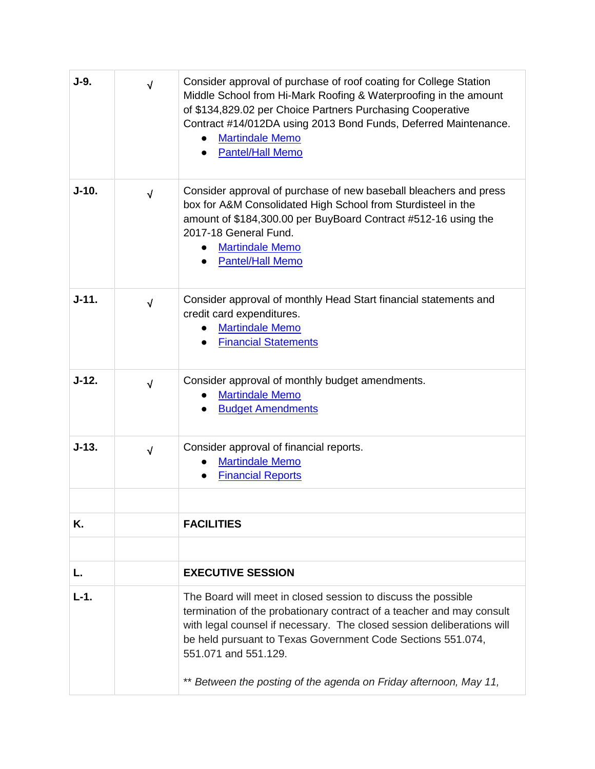| J-9.      | $\sqrt{}$  | Consider approval of purchase of roof coating for College Station<br>Middle School from Hi-Mark Roofing & Waterproofing in the amount<br>of \$134,829.02 per Choice Partners Purchasing Cooperative<br>Contract #14/012DA using 2013 Bond Funds, Deferred Maintenance.<br><b>Martindale Memo</b><br><b>Pantel/Hall Memo</b>                                                  |
|-----------|------------|------------------------------------------------------------------------------------------------------------------------------------------------------------------------------------------------------------------------------------------------------------------------------------------------------------------------------------------------------------------------------|
| $J-10.$   | $\sqrt{ }$ | Consider approval of purchase of new baseball bleachers and press<br>box for A&M Consolidated High School from Sturdisteel in the<br>amount of \$184,300.00 per BuyBoard Contract #512-16 using the<br>2017-18 General Fund.<br><b>Martindale Memo</b><br><b>Pantel/Hall Memo</b>                                                                                            |
| $J - 11.$ | $\sqrt{ }$ | Consider approval of monthly Head Start financial statements and<br>credit card expenditures.<br><b>Martindale Memo</b><br><b>Financial Statements</b>                                                                                                                                                                                                                       |
| $J-12.$   | $\sqrt{ }$ | Consider approval of monthly budget amendments.<br><b>Martindale Memo</b><br><b>Budget Amendments</b>                                                                                                                                                                                                                                                                        |
| $J-13.$   | $\sqrt{2}$ | Consider approval of financial reports.<br><b>Martindale Memo</b><br><b>Financial Reports</b>                                                                                                                                                                                                                                                                                |
| Κ.        |            | <b>FACILITIES</b>                                                                                                                                                                                                                                                                                                                                                            |
|           |            |                                                                                                                                                                                                                                                                                                                                                                              |
| L.        |            | <b>EXECUTIVE SESSION</b>                                                                                                                                                                                                                                                                                                                                                     |
| $L-1.$    |            | The Board will meet in closed session to discuss the possible<br>termination of the probationary contract of a teacher and may consult<br>with legal counsel if necessary. The closed session deliberations will<br>be held pursuant to Texas Government Code Sections 551.074,<br>551.071 and 551.129.<br>** Between the posting of the agenda on Friday afternoon, May 11, |